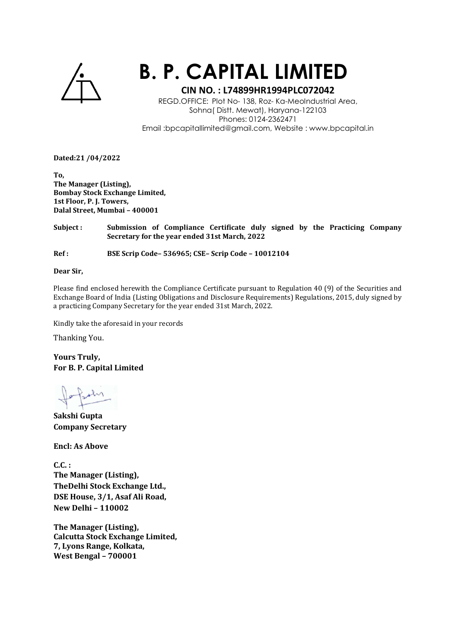

## **B. P. CAPITAL LIMITED**

## **CIN NO. : L74899HR1994PLC072042**

REGD.OFFICE: Plot No- 138, Roz- Ka-MeoIndustrial Area, Sohna( Distt. Mewat), Haryana-122103 Phones: 0124-2362471 Email :bpcapitallimited@gmail.com, Website : www.bpcapital.in

**Dated:21 /04/2022** 

**To, The Manager (Listing), Bombay Stock Exchange Limited, 1st Floor, P. J. Towers, Dalal Street, Mumbai – 400001** 

**Subject : Submission of Compliance Certificate duly signed by the Practicing Company Secretary for the year ended 31st March, 2022** 

**Ref : BSE Scrip Code– 536965; CSE– Scrip Code – 10012104** 

**Dear Sir,** 

Please find enclosed herewith the Compliance Certificate pursuant to Regulation 40 (9) of the Securities and Exchange Board of India (Listing Obligations and Disclosure Requirements) Regulations, 2015, duly signed by a practicing Company Secretary for the year ended 31st March, 2022.

Kindly take the aforesaid in your records

Thanking You.

**Yours Truly, For B. P. Capital Limited** 

**Sakshi Gupta Company Secretary** 

**Encl: As Above** 

**C.C. : The Manager (Listing), TheDelhi Stock Exchange Ltd., DSE House, 3/1, Asaf Ali Road, New Delhi – 110002** 

**The Manager (Listing), Calcutta Stock Exchange Limited, 7, Lyons Range, Kolkata, West Bengal – 700001**